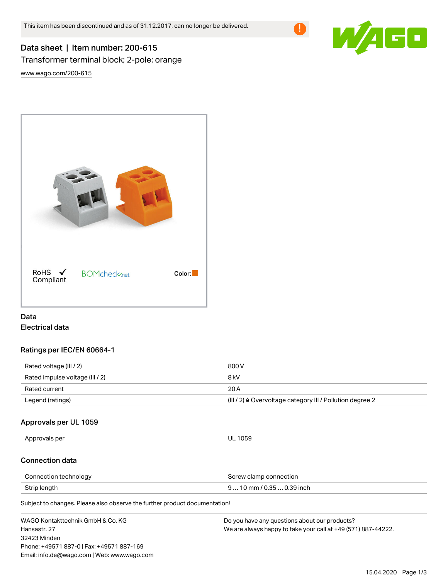

# Data sheet | Item number: 200-615 Transformer terminal block; 2-pole; orange

[www.wago.com/200-615](http://www.wago.com/200-615)



# Data Electrical data

# Ratings per IEC/EN 60664-1

| Rated voltage (III / 2)         | 800 V                                                                 |
|---------------------------------|-----------------------------------------------------------------------|
| Rated impulse voltage (III / 2) | 8 kV                                                                  |
| Rated current                   | 20 A                                                                  |
| Legend (ratings)                | $(III / 2)$ $\triangle$ Overvoltage category III / Pollution degree 2 |

# Approvals per UL 1059

Approvals per UL 1059

#### Connection data

| Connection technology | Screw clamp connection     |
|-----------------------|----------------------------|
| Strip length          | $910$ mm / 0.35  0.39 inch |

Subject to changes. Please also observe the further product documentation!

| WAGO Kontakttechnik GmbH & Co. KG           | Do you have any questions about our products?                 |
|---------------------------------------------|---------------------------------------------------------------|
| Hansastr, 27                                | We are always happy to take your call at +49 (571) 887-44222. |
| 32423 Minden                                |                                                               |
| Phone: +49571 887-0   Fax: +49571 887-169   |                                                               |
| Email: info.de@wago.com   Web: www.wago.com |                                                               |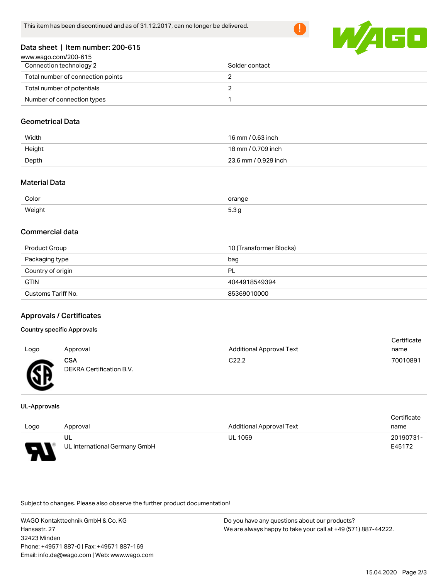

#### Data sheet | Item number: 200-615

| www.wago.com/200-615              |                |
|-----------------------------------|----------------|
| Connection technology 2           | Solder contact |
| Total number of connection points |                |
| Total number of potentials        |                |
| Number of connection types        |                |

#### Geometrical Data

| Width  | 16 mm / 0.63 inch    |
|--------|----------------------|
| Height | 18 mm / 0.709 inch   |
| Depth  | 23.6 mm / 0.929 inch |

# Material Data

| Color  | orange             |
|--------|--------------------|
| Weight | $\sim$ $\sim$<br>ິ |

#### Commercial data

| Product Group      | 10 (Transformer Blocks) |
|--------------------|-------------------------|
| Packaging type     | bag                     |
| Country of origin  | PL                      |
| <b>GTIN</b>        | 4044918549394           |
| Customs Tariff No. | 85369010000             |

# Approvals / Certificates

#### Country specific Approvals

|      |                          |                                 | Certificate |
|------|--------------------------|---------------------------------|-------------|
| Logo | Approval                 | <b>Additional Approval Text</b> | name        |
|      | CSA                      | C22.2                           | 70010891    |
| Æ    | DEKRA Certification B.V. |                                 |             |

#### UL-Approvals

w

|      |                               |                                 | Certificate |
|------|-------------------------------|---------------------------------|-------------|
| Logo | Approval                      | <b>Additional Approval Text</b> | name        |
|      | UL                            | <b>UL 1059</b>                  | 20190731-   |
| o    | UL International Germany GmbH |                                 | E45172      |

Subject to changes. Please also observe the further product documentation!

WAGO Kontakttechnik GmbH & Co. KG Hansastr. 27 32423 Minden Phone: +49571 887-0 | Fax: +49571 887-169 Email: info.de@wago.com | Web: www.wago.com Do you have any questions about our products? We are always happy to take your call at +49 (571) 887-44222.